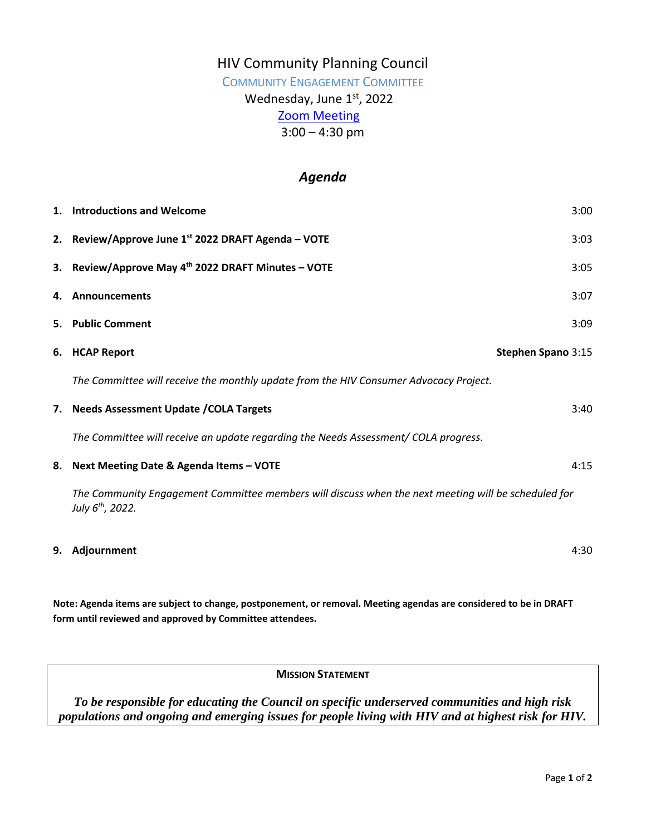## HIV Community Planning Council

### COMMUNITY ENGAGEMENT COMMITTEE

# Wednesday, June 1st, 2022

# [Zoom Meeting](https://us02web.zoom.us/j/89108205459)

 $3:00 - 4:30$  pm

### *Agenda*

|    | 1. Introductions and Welcome                                                                                                        | 3:00               |
|----|-------------------------------------------------------------------------------------------------------------------------------------|--------------------|
|    | 2. Review/Approve June 1st 2022 DRAFT Agenda - VOTE                                                                                 | 3:03               |
|    | 3. Review/Approve May 4th 2022 DRAFT Minutes - VOTE                                                                                 | 3:05               |
|    | 4. Announcements                                                                                                                    | 3:07               |
|    | 5. Public Comment                                                                                                                   | 3:09               |
|    | 6. HCAP Report                                                                                                                      | Stephen Spano 3:15 |
|    | The Committee will receive the monthly update from the HIV Consumer Advocacy Project.                                               |                    |
|    | 7. Needs Assessment Update / COLA Targets                                                                                           | 3:40               |
|    | The Committee will receive an update regarding the Needs Assessment/ COLA progress.                                                 |                    |
| 8. | Next Meeting Date & Agenda Items - VOTE                                                                                             | 4:15               |
|    | The Community Engagement Committee members will discuss when the next meeting will be scheduled for<br>July 6 <sup>th</sup> , 2022. |                    |
| 9. | Adjournment                                                                                                                         | 4:30               |

**Note: Agenda items are subject to change, postponement, or removal. Meeting agendas are considered to be in DRAFT form until reviewed and approved by Committee attendees.**

**MISSION STATEMENT**

*To be responsible for educating the Council on specific underserved communities and high risk populations and ongoing and emerging issues for people living with HIV and at highest risk for HIV.*